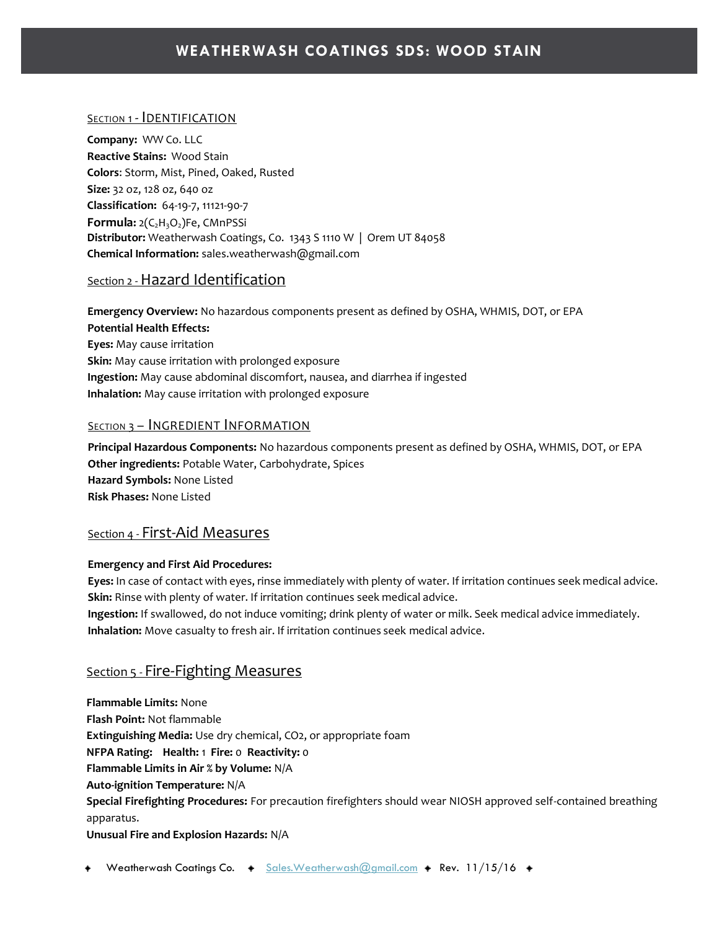#### SECTION 1 - **IDENTIFICATION**

**Company:** WW Co. LLC **Reactive Stains:** Wood Stain **Colors**: Storm, Mist, Pined, Oaked, Rusted **Size:** 32 oz, 128 oz, 640 oz **Classification:** 64-19-7, 11121-90-7 **Formula:** 2(C2H3O2)Fe, CMnPSSi **Distributor:** Weatherwash Coatings, Co. 1343 S 1110 W | Orem UT 84058 **Chemical Information:** sales.weatherwash@gmail.com

## Section 2 -Hazard Identification

**Emergency Overview:** No hazardous components present as defined by OSHA, WHMIS, DOT, or EPA **Potential Health Effects: Eyes:** May cause irritation **Skin:** May cause irritation with prolonged exposure **Ingestion:** May cause abdominal discomfort, nausea, and diarrhea if ingested **Inhalation:** May cause irritation with prolonged exposure

#### **SECTION 3 - INGREDIENT INFORMATION**

**Principal Hazardous Components:** No hazardous components present as defined by OSHA, WHMIS, DOT, or EPA **Other ingredients:** Potable Water, Carbohydrate, Spices **Hazard Symbols:** None Listed **Risk Phases:** None Listed

#### Section 4 - First-Aid Measures

#### **Emergency and First Aid Procedures:**

**Eyes:** In case of contact with eyes, rinse immediately with plenty of water. If irritation continues seek medical advice. **Skin:** Rinse with plenty of water. If irritation continues seek medical advice.

**Ingestion:** If swallowed, do not induce vomiting; drink plenty of water or milk. Seek medical advice immediately. **Inhalation:** Move casualty to fresh air. If irritation continues seek medical advice.

#### Section 5 - Fire-Fighting Measures

**Flammable Limits:** None **Flash Point:** Not flammable **Extinguishing Media:** Use dry chemical, CO2, or appropriate foam **NFPA Rating: Health:** 1 **Fire:** 0 **Reactivity:** 0 **Flammable Limits in Air % by Volume:** N/A **Auto-ignition Temperature:** N/A **Special Firefighting Procedures:** For precaution firefighters should wear NIOSH approved self-contained breathing apparatus. **Unusual Fire and Explosion Hazards:** N/A

Weatherwash Coatings Co.  $\arrow$  Sales. Weatherwash @gmail.com  $\rightarrow$  Rev. 11/15/16  $\rightarrow$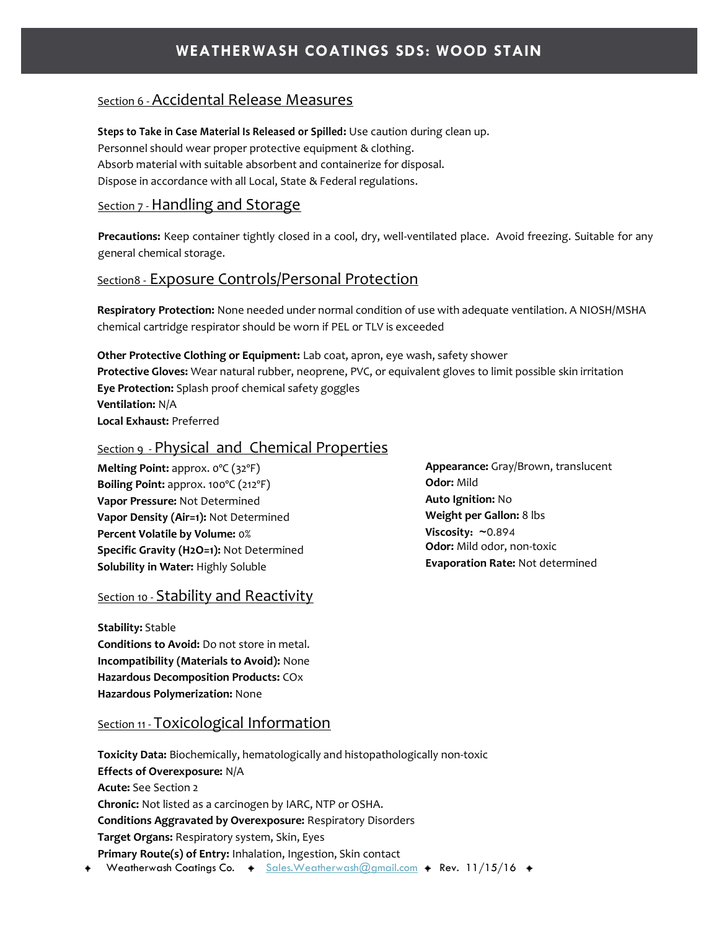## Section 6 - Accidental Release Measures

**Steps to Take in Case Material Is Released or Spilled:** Use caution during clean up. Personnel should wear proper protective equipment & clothing. Absorb material with suitable absorbent and containerize for disposal. Dispose in accordance with all Local, State & Federal regulations.

### Section 7 - Handling and Storage

**Precautions:** Keep container tightly closed in a cool, dry, well-ventilated place. Avoid freezing. Suitable for any general chemical storage.

### Section8 - Exposure Controls/Personal Protection

**Respiratory Protection:** None needed under normal condition of use with adequate ventilation. A NIOSH/MSHA chemical cartridge respirator should be worn if PEL or TLV is exceeded

**Other Protective Clothing or Equipment:** Lab coat, apron, eye wash, safety shower **Protective Gloves:** Wear natural rubber, neoprene, PVC, or equivalent gloves to limit possible skin irritation **Eye Protection:** Splash proof chemical safety goggles **Ventilation:** N/A **Local Exhaust:** Preferred

## Section 9 - Physical and Chemical Properties

**Melting Point:** approx. 0ºC (32ºF) **Boiling Point:** approx. 100ºC (212ºF) **Vapor Pressure:** Not Determined **Vapor Density (Air=1):** Not Determined **Percent Volatile by Volume:** 0% **Specific Gravity (H2O=1):** Not Determined **Solubility in Water:** Highly Soluble

## Section 10 - Stability and Reactivity

**Stability:** Stable **Conditions to Avoid:** Do not store in metal. **Incompatibility (Materials to Avoid):** None **Hazardous Decomposition Products:** COx **Hazardous Polymerization:** None

## Section 11 - Toxicological Information

Weatherwash Coatings Co.  $\arrow$  Sales. Weatherwash @gmail.com  $\rightarrow$  Rev. 11/15/16  $\rightarrow$ **Toxicity Data:** Biochemically, hematologically and histopathologically non-toxic **Effects of Overexposure:** N/A **Acute:** See Section 2 **Chronic:** Not listed as a carcinogen by IARC, NTP or OSHA. **Conditions Aggravated by Overexposure:** Respiratory Disorders **Target Organs:** Respiratory system, Skin, Eyes **Primary Route(s) of Entry:** Inhalation, Ingestion, Skin contact

**Appearance:** Gray/Brown, translucent **Odor:** Mild **Auto Ignition:** No **Weight per Gallon:** 8 lbs **Viscosity: ~**0.894 **Odor:** Mild odor, non-toxic **Evaporation Rate:** Not determined